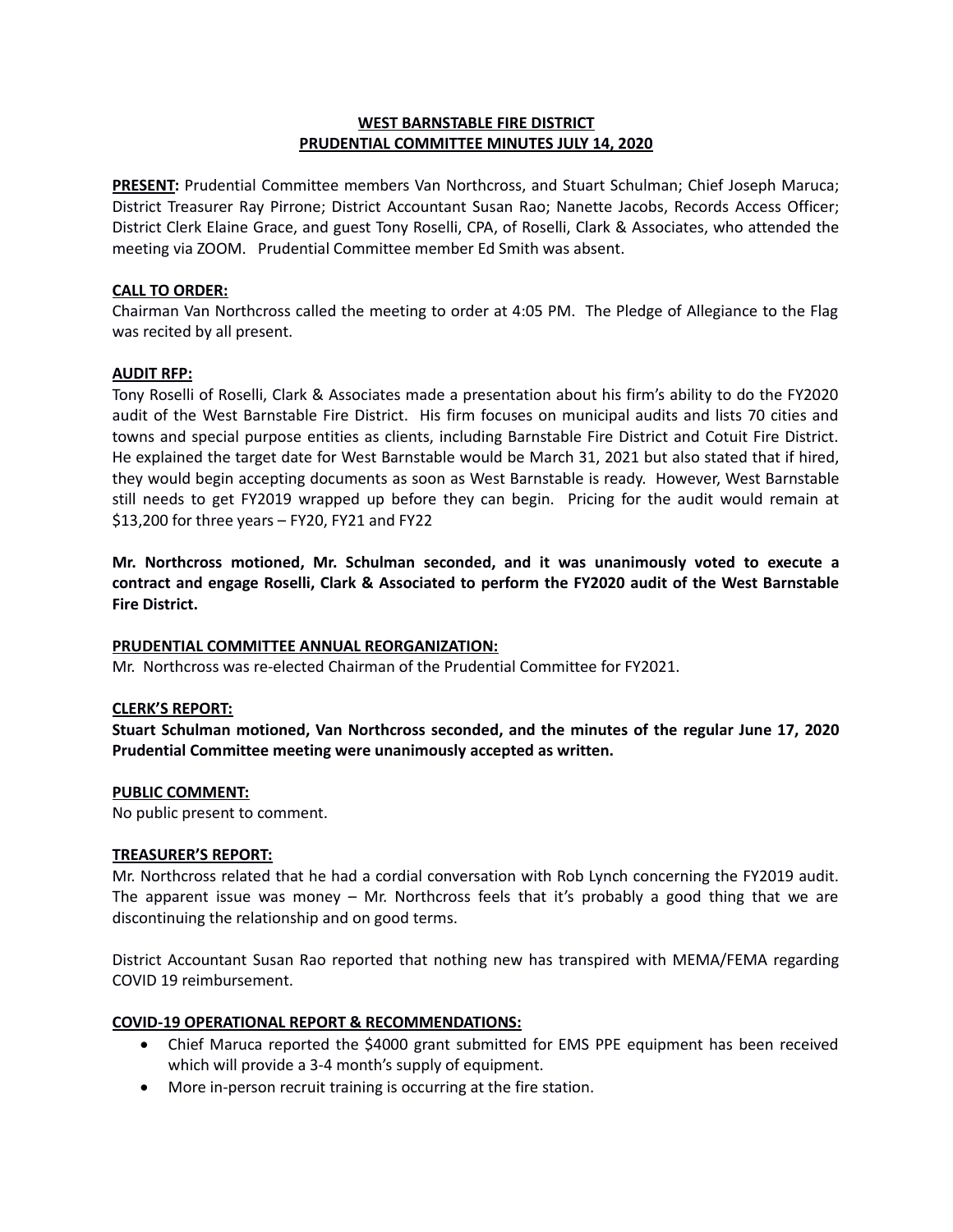# **WEST BARNSTABLE FIRE DISTRICT PRUDENTIAL COMMITTEE MINUTES JULY 14, 2020**

**PRESENT:** Prudential Committee members Van Northcross, and Stuart Schulman; Chief Joseph Maruca; District Treasurer Ray Pirrone; District Accountant Susan Rao; Nanette Jacobs, Records Access Officer; District Clerk Elaine Grace, and guest Tony Roselli, CPA, of Roselli, Clark & Associates, who attended the meeting via ZOOM. Prudential Committee member Ed Smith was absent.

## **CALL TO ORDER:**

Chairman Van Northcross called the meeting to order at 4:05 PM. The Pledge of Allegiance to the Flag was recited by all present.

### **AUDIT RFP:**

Tony Roselli of Roselli, Clark & Associates made a presentation about his firm's ability to do the FY2020 audit of the West Barnstable Fire District. His firm focuses on municipal audits and lists 70 cities and towns and special purpose entities as clients, including Barnstable Fire District and Cotuit Fire District. He explained the target date for West Barnstable would be March 31, 2021 but also stated that if hired, they would begin accepting documents as soon as West Barnstable is ready. However, West Barnstable still needs to get FY2019 wrapped up before they can begin. Pricing for the audit would remain at \$13,200 for three years – FY20, FY21 and FY22

**Mr. Northcross motioned, Mr. Schulman seconded, and it was unanimously voted to execute a contract and engage Roselli, Clark & Associated to perform the FY2020 audit of the West Barnstable Fire District.**

# **PRUDENTIAL COMMITTEE ANNUAL REORGANIZATION:**

Mr. Northcross was re-elected Chairman of the Prudential Committee for FY2021.

### **CLERK'S REPORT:**

**Stuart Schulman motioned, Van Northcross seconded, and the minutes of the regular June 17, 2020 Prudential Committee meeting were unanimously accepted as written.** 

### **PUBLIC COMMENT:**

No public present to comment.

### **TREASURER'S REPORT:**

Mr. Northcross related that he had a cordial conversation with Rob Lynch concerning the FY2019 audit. The apparent issue was money – Mr. Northcross feels that it's probably a good thing that we are discontinuing the relationship and on good terms.

District Accountant Susan Rao reported that nothing new has transpired with MEMA/FEMA regarding COVID 19 reimbursement.

### **COVID-19 OPERATIONAL REPORT & RECOMMENDATIONS:**

- Chief Maruca reported the \$4000 grant submitted for EMS PPE equipment has been received which will provide a 3-4 month's supply of equipment.
- More in-person recruit training is occurring at the fire station.